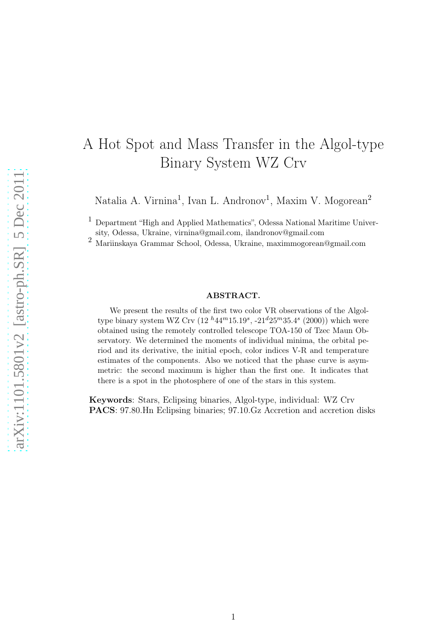# A Hot Spot and Mass Transfer in the Algol-type Binary System WZ Crv

Natalia A. Virnina<sup>1</sup>, Ivan L. Andronov<sup>1</sup>, Maxim V. Mogorean<sup>2</sup>

 $^{\rm 1}$  Department "High and Applied Mathematics", Odessa National Maritime Univer-

sity, Odessa, Ukraine, virnina@gmail.com, ilandronov@gmail.com <sup>2</sup> Mariinskaya Grammar School, Odessa, Ukraine, maximmogorean@gmail.com

#### ABSTRACT.

We present the results of the first two color VR observations of the Algoltype binary system WZ Crv  $(12^{h}44^{m}15.19^{s}, -21^{d}25^{m}35.4^{s} (2000))$  which were obtained using the remotely controlled telescope TOA-150 of Tzec Maun Observatory. We determined the moments of individual minima, the orbital period and its derivative, the initial epoch, color indices V-R and temperature estimates of the components. Also we noticed that the phase curve is asymmetric: the second maximum is higher than the first one. It indicates that there is a spot in the photosphere of one of the stars in this system.

Keywords: Stars, Eclipsing binaries, Algol-type, individual: WZ Crv PACS: 97.80.Hn Eclipsing binaries; 97.10.Gz Accretion and accretion disks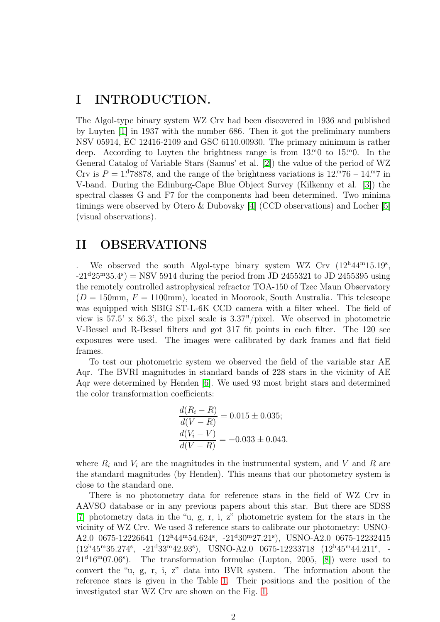# I INTRODUCTION.

The Algol-type binary system WZ Crv had been discovered in 1936 and published by Luyten [\[1\]](#page-10-0) in 1937 with the number 686. Then it got the preliminary numbers NSV 05914, EC 12416-2109 and GSC 6110.00930. The primary minimum is rather deep. According to Luyten the brightness range is from  $13 \cdot 0$  to  $15 \cdot 0$ . In the General Catalog of Variable Stars (Samus' et al. [\[2\]](#page-10-1)) the value of the period of WZ Crv is  $P = 1.18878$ , and the range of the brightness variations is  $12 \cdot 76 - 14 \cdot 7$  in V-band. During the Edinburg-Cape Blue Object Survey (Kilkenny et al. [\[3\]](#page-10-2)) the spectral classes G and F7 for the components had been determined. Two minima timings were observed by Otero & Dubovsky [\[4\]](#page-10-3) (CCD observations) and Locher [\[5\]](#page-10-4) (visual observations).

#### II OBSERVATIONS

We observed the south Algol-type binary system WZ Crv  $(12^h44^m15.19^s,$  $-21^{\text{d}}25^{\text{m}}35.4^{\text{s}}$  = NSV 5914 during the period from JD 2455321 to JD 2455395 using the remotely controlled astrophysical refractor TOA-150 of Tzec Maun Observatory  $(D = 150$ mm,  $F = 1100$ mm), located in Moorook, South Australia. This telescope was equipped with SBIG ST-L-6K CCD camera with a filter wheel. The field of view is 57.5' x 86.3', the pixel scale is 3.37"/pixel. We observed in photometric V-Bessel and R-Bessel filters and got 317 fit points in each filter. The 120 sec exposures were used. The images were calibrated by dark frames and flat field frames.

To test our photometric system we observed the field of the variable star AE Aqr. The BVRI magnitudes in standard bands of 228 stars in the vicinity of AE Aqr were determined by Henden [\[6\]](#page-10-5). We used 93 most bright stars and determined the color transformation coefficients:

$$
\frac{d(R_i - R)}{d(V - R)} = 0.015 \pm 0.035;
$$
  

$$
\frac{d(V_i - V)}{d(V - R)} = -0.033 \pm 0.043.
$$

where  $R_i$  and  $V_i$  are the magnitudes in the instrumental system, and V and R are the standard magnitudes (by Henden). This means that our photometry system is close to the standard one.

There is no photometry data for reference stars in the field of WZ Crv in AAVSO database or in any previous papers about this star. But there are SDSS [\[7\]](#page-10-6) photometry data in the "u, g, r, i, z" photometric system for the stars in the vicinity of WZ Crv. We used 3 reference stars to calibrate our photometry: USNO-A2.0 0675-12226641 (12<sup>h</sup>44<sup>m</sup>54.624<sup>s</sup> , -21<sup>d</sup>30<sup>m</sup>27.21<sup>s</sup> ), USNO-A2.0 0675-12232415  $(12^h45^m35.274^s, -21^d33^m42.93^s),$  USNO-A2.0 0675-12233718  $(12^h45^m44.211^s, -12^s33^s)$  $21<sup>d</sup>16<sup>m</sup>07.06<sup>s</sup>$ ). The transformation formulae (Lupton, 2005, [\[8\]](#page-10-7)) were used to convert the "u, g, r, i, z" data into BVR system. The information about the reference stars is given in the Table [1.](#page-2-0) Their positions and the position of the investigated star WZ Crv are shown on the Fig. [1.](#page-2-1)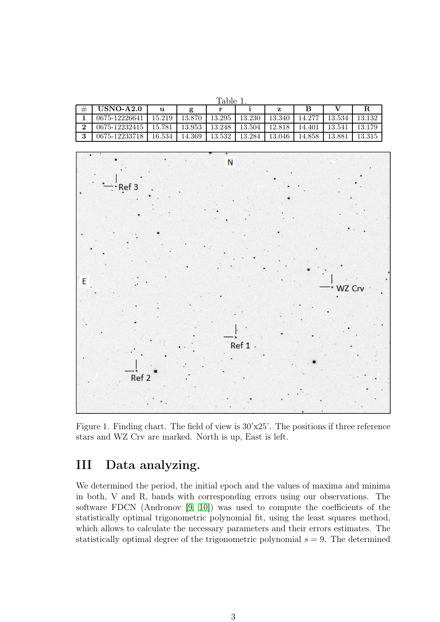<span id="page-2-0"></span>

| IJ<br>п. |  |
|----------|--|
|          |  |

|   | $USNO-A2.0$   |          |        |          |        |        |        |        |        |
|---|---------------|----------|--------|----------|--------|--------|--------|--------|--------|
|   | 0675-12226641 | 15.219 L | 13.870 | 13.295   | 13.230 | 13.340 | 14.277 | 13.534 | 13.132 |
| ົ | 0675-12232415 | 15.781   | 13.953 | - 13.248 | 13.504 | 12.818 | 14.401 | 13.541 | 13.179 |
|   | 0675-12233718 | $16.534$ | 14.369 | 13.532   | 13.284 | 13.046 | 14.858 | 13.881 | 13.315 |



<span id="page-2-1"></span>Figure 1. Finding chart. The field of view is 30'x25'. The positions if three reference stars and WZ Crv are marked. North is up, East is left.

## III Data analyzing.

We determined the period, the initial epoch and the values of maxima and minima in both, V and R, bands with corresponding errors using our observations. The software FDCN (Andronov [\[9,](#page-10-8) [10\]](#page-10-9)) was used to compute the coefficients of the statistically optimal trigonometric polynomial fit, using the least squares method, which allows to calculate the necessary parameters and their errors estimates. The statistically optimal degree of the trigonometric polynomial  $s = 9$ . The determined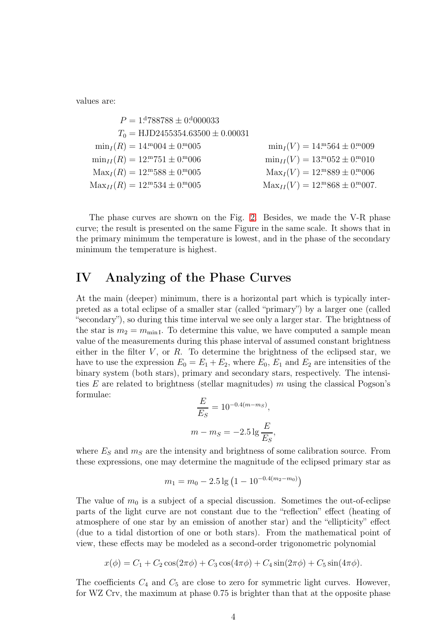values are:

$$
P = 14788788 \pm 04000033
$$
  
\n
$$
T_0 = HJD2455354.63500 \pm 0.00031
$$
  
\n
$$
\min_I(R) = 14m004 \pm 0m005
$$
  
\n
$$
\min_{II}(R) = 12m751 \pm 0m006
$$
  
\n
$$
\max_I(R) = 12m588 \pm 0m005
$$
  
\n
$$
\max_{II}(R) = 12m584 \pm 0m005
$$
  
\n
$$
\max_{II}(V) = 13m052 \pm 0m010
$$
  
\n
$$
\max_{II}(V) = 12m889 \pm 0m006
$$
  
\n
$$
\max_{II}(V) = 12m889 \pm 0m006
$$
  
\n
$$
\max_{II}(V) = 12m868 \pm 0m007
$$

The phase curves are shown on the Fig. [2.](#page-7-0) Besides, we made the V-R phase curve; the result is presented on the same Figure in the same scale. It shows that in the primary minimum the temperature is lowest, and in the phase of the secondary minimum the temperature is highest.

#### IV Analyzing of the Phase Curves

At the main (deeper) minimum, there is a horizontal part which is typically interpreted as a total eclipse of a smaller star (called "primary") by a larger one (called "secondary"), so during this time interval we see only a larger star. The brightness of the star is  $m_2 = m_{\text{min I}}$ . To determine this value, we have computed a sample mean value of the measurements during this phase interval of assumed constant brightness either in the filter  $V$ , or  $R$ . To determine the brightness of the eclipsed star, we have to use the expression  $E_0 = E_1 + E_2$ , where  $E_0$ ,  $E_1$  and  $E_2$  are intensities of the binary system (both stars), primary and secondary stars, respectively. The intensities E are related to brightness (stellar magnitudes)  $m$  using the classical Pogson's formulae:

$$
\frac{E}{E_S} = 10^{-0.4(m - m_S)},
$$
  

$$
m - m_S = -2.5 \lg \frac{E}{E_S},
$$

where  $E<sub>S</sub>$  and  $m<sub>S</sub>$  are the intensity and brightness of some calibration source. From these expressions, one may determine the magnitude of the eclipsed primary star as

$$
m_1 = m_0 - 2.5 \lg \left( 1 - 10^{-0.4(m_2 - m_0)} \right)
$$

The value of  $m_0$  is a subject of a special discussion. Sometimes the out-of-eclipse parts of the light curve are not constant due to the "reflection" effect (heating of atmosphere of one star by an emission of another star) and the "ellipticity" effect (due to a tidal distortion of one or both stars). From the mathematical point of view, these effects may be modeled as a second-order trigonometric polynomial

$$
x(\phi) = C_1 + C_2 \cos(2\pi \phi) + C_3 \cos(4\pi \phi) + C_4 \sin(2\pi \phi) + C_5 \sin(4\pi \phi).
$$

The coefficients  $C_4$  and  $C_5$  are close to zero for symmetric light curves. However, for WZ Crv, the maximum at phase 0.75 is brighter than that at the opposite phase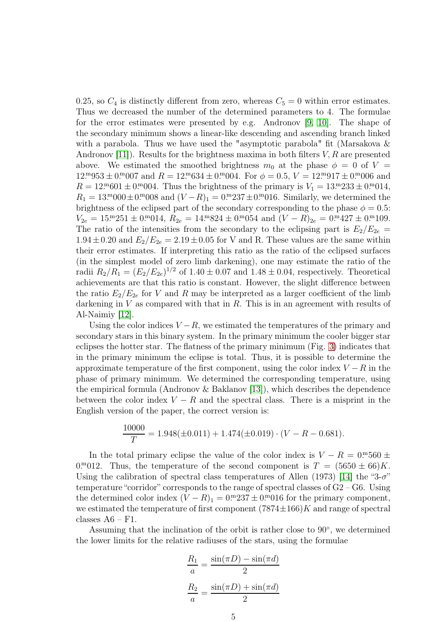0.25, so  $C_4$  is distinctly different from zero, whereas  $C_5 = 0$  within error estimates. Thus we decreased the number of the determined parameters to 4. The formulae for the error estimates were presented by e.g. Andronov [\[9,](#page-10-8) [10\]](#page-10-9). The shape of the secondary minimum shows a linear-like descending and ascending branch linked with a parabola. Thus we have used the "asymptotic parabola" fit (Marsakova & Andronov [\[11\]](#page-10-10)). Results for the brightness maxima in both filters  $V, R$  are presented above. We estimated the smoothed brightness  $m_0$  at the phase  $\phi = 0$  of  $V =$  $12.^{\rm m}953 \pm 0.^{\rm m}007$  and  $R = 12.^{\rm m}634 \pm 0.^{\rm m}004$ . For  $\phi = 0.5, V = 12.^{\rm m}917 \pm 0.^{\rm m}006$  and  $R = 12^{m}601 \pm 0.004$ . Thus the brightness of the primary is  $V_1 = 13^{m}233 \pm 0.0014$ ,  $R_1 = 13 \cdot 0.00 \pm 0.0008$  and  $(V - R)_1 = 0.000237 \pm 0.00016$ . Similarly, we determined the brightness of the eclipsed part of the secondary corresponding to the phase  $\phi = 0.5$ :  $V_{2e} = 15^{m}251 \pm 0^{m}014$ ,  $R_{2e} = 14^{m}824 \pm 0^{m}054$  and  $(V - R)_{2e} = 0^{m}427 \pm 0^{m}109$ . The ratio of the intensities from the secondary to the eclipsing part is  $E_2/E_{2e}$  =  $1.94 \pm 0.20$  and  $E_2/E_{2e} = 2.19 \pm 0.05$  for V and R. These values are the same within their error estimates. If interpreting this ratio as the ratio of the eclipsed surfaces (in the simplest model of zero limb darkening), one may estimate the ratio of the radii  $R_2/R_1 = (E_2/E_{2e})^{1/2}$  of  $1.40 \pm 0.07$  and  $1.48 \pm 0.04$ , respectively. Theoretical achievements are that this ratio is constant. However, the slight difference between the ratio  $E_2/E_{2e}$  for V and R may be interpreted as a larger coefficient of the limb darkening in  $V$  as compared with that in  $R$ . This is in an agreement with results of Al-Naimiy [\[12\]](#page-10-11).

Using the color indices  $V - R$ , we estimated the temperatures of the primary and secondary stars in this binary system. In the primary minimum the cooler bigger star eclipses the hotter star. The flatness of the primary minimum (Fig. [3\)](#page-7-1) indicates that in the primary minimum the eclipse is total. Thus, it is possible to determine the approximate temperature of the first component, using the color index  $V - R$  in the phase of primary minimum. We determined the corresponding temperature, using the empirical formula (Andronov & Baklanov [\[13\]](#page-10-12)), which describes the dependence between the color index  $V - R$  and the spectral class. There is a misprint in the English version of the paper, the correct version is:

$$
\frac{10000}{T} = 1.948(\pm 0.011) + 1.474(\pm 0.019) \cdot (V - R - 0.681).
$$

In the total primary eclipse the value of the color index is  $V - R = 0.00560 \pm 0.000560$ 0. mom 0. Thus, the temperature of the second component is  $T = (5650 \pm 66)K$ . Using the calibration of spectral class temperatures of Allen (1973) [\[14\]](#page-10-13) the "3- $\sigma$ " temperature "corridor" corresponds to the range of spectral classes of  $G2 - G6$ . Using the determined color index  $(V - R)$ <sub>1</sub> = 0.<sup>m</sup>237 ± 0.<sup>m</sup>016 for the primary component, we estimated the temperature of first component  $(7874\pm166)K$  and range of spectral classes  $A6 - F1$ .

Assuming that the inclination of the orbit is rather close to 90◦ , we determined the lower limits for the relative radiuses of the stars, using the formulae

$$
\frac{R_1}{a} = \frac{\sin(\pi D) - \sin(\pi d)}{2}
$$

$$
\frac{R_2}{a} = \frac{\sin(\pi D) + \sin(\pi d)}{2}
$$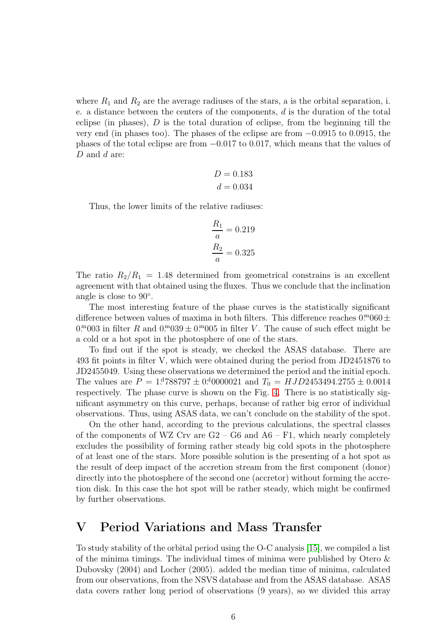where  $R_1$  and  $R_2$  are the average radiuses of the stars, a is the orbital separation, i. e. a distance between the centers of the components,  $d$  is the duration of the total eclipse (in phases),  $D$  is the total duration of eclipse, from the beginning till the very end (in phases too). The phases of the eclipse are from −0.0915 to 0.0915, the phases of the total eclipse are from −0.017 to 0.017, which means that the values of D and d are:

$$
D = 0.183
$$

$$
d = 0.034
$$

Thus, the lower limits of the relative radiuses:

$$
\frac{R_1}{a} = 0.219
$$

$$
\frac{R_2}{a} = 0.325
$$

The ratio  $R_2/R_1 = 1.48$  determined from geometrical constrains is an excellent agreement with that obtained using the fluxes. Thus we conclude that the inclination angle is close to 90◦ .

The most interesting feature of the phase curves is the statistically significant difference between values of maxima in both filters. This difference reaches  $0.^{\rm m}060\pm$  $0.^{\rm m}003$  in filter R and  $0.^{\rm m}039 \pm 0.^{\rm m}005$  in filter V. The cause of such effect might be a cold or a hot spot in the photosphere of one of the stars.

To find out if the spot is steady, we checked the ASAS database. There are 493 fit points in filter V, which were obtained during the period from JD2451876 to JD2455049. Using these observations we determined the period and the initial epoch. The values are  $P = 1.14788797 \pm 0.0000021$  and  $T_0 = HJD2453494.2755 \pm 0.0014$ respectively. The phase curve is shown on the Fig. [4.](#page-8-0) There is no statistically significant asymmetry on this curve, perhaps, because of rather big error of individual observations. Thus, using ASAS data, we can't conclude on the stability of the spot.

On the other hand, according to the previous calculations, the spectral classes of the components of WZ Crv are  $G2 - G6$  and  $A6 - F1$ , which nearly completely excludes the possibility of forming rather steady big cold spots in the photosphere of at least one of the stars. More possible solution is the presenting of a hot spot as the result of deep impact of the accretion stream from the first component (donor) directly into the photosphere of the second one (accretor) without forming the accretion disk. In this case the hot spot will be rather steady, which might be confirmed by further observations.

### V Period Variations and Mass Transfer

To study stability of the orbital period using the O-C analysis [\[15\]](#page-10-14), we compiled a list of the minima timings. The individual times of minima were published by Otero  $\&$ Dubovsky (2004) and Locher (2005). added the median time of minima, calculated from our observations, from the NSVS database and from the ASAS database. ASAS data covers rather long period of observations (9 years), so we divided this array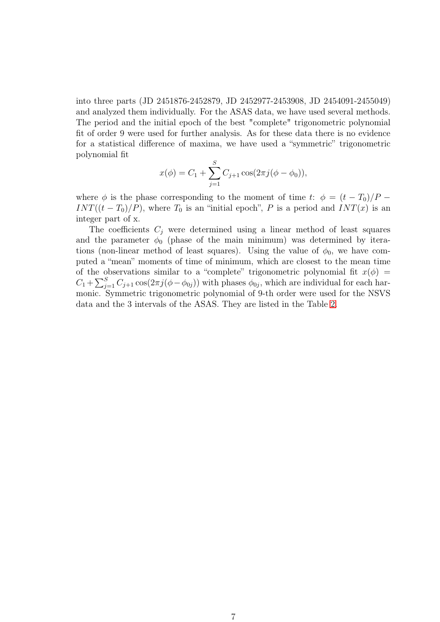into three parts (JD 2451876-2452879, JD 2452977-2453908, JD 2454091-2455049) and analyzed them individually. For the ASAS data, we have used several methods. The period and the initial epoch of the best "complete" trigonometric polynomial fit of order 9 were used for further analysis. As for these data there is no evidence for a statistical difference of maxima, we have used a "symmetric" trigonometric polynomial fit

$$
x(\phi) = C_1 + \sum_{j=1}^{S} C_{j+1} \cos(2\pi j(\phi - \phi_0)),
$$

where  $\phi$  is the phase corresponding to the moment of time t:  $\phi = (t - T_0)/P$  –  $INT((t - T_0)/P)$ , where  $T_0$  is an "initial epoch", P is a period and  $INT(x)$  is an integer part of x.

The coefficients  $C_i$  were determined using a linear method of least squares and the parameter  $\phi_0$  (phase of the main minimum) was determined by iterations (non-linear method of least squares). Using the value of  $\phi_0$ , we have computed a "mean" moments of time of minimum, which are closest to the mean time of the observations similar to a "complete" trigonometric polynomial fit  $x(\phi)$  =  $C_1 + \sum_{j=1}^{S} C_{j+1} \cos(2\pi j(\phi - \phi_{0j}))$  with phases  $\phi_{0j}$ , which are individual for each harmonic. Symmetric trigonometric polynomial of 9-th order were used for the NSVS data and the 3 intervals of the ASAS. They are listed in the Table [2.](#page-8-1)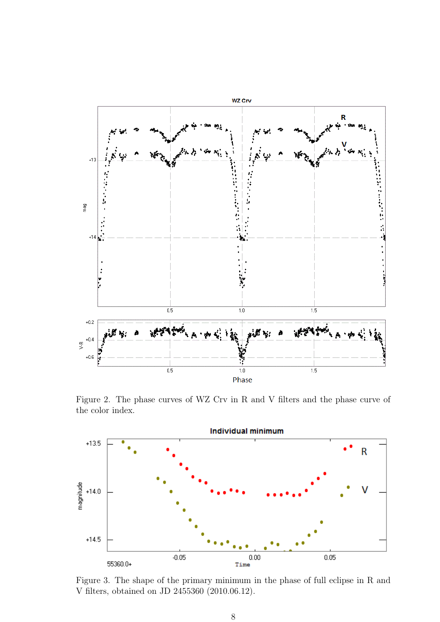

<span id="page-7-0"></span>Figure 2. The phase curves of WZ Crv in R and V filters and the phase curve of the color index.



<span id="page-7-1"></span>Figure 3. The shape of the primary minimum in the phase of full eclipse in R and V filters, obtained on JD 2455360 (2010.06.12).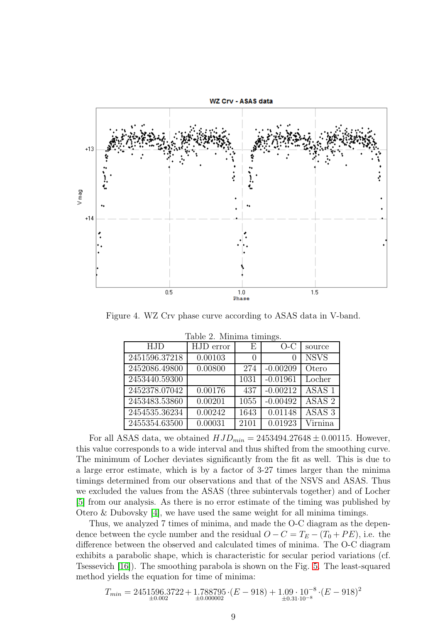

Figure 4. WZ Crv phase curve according to ASAS data in V-band.

<span id="page-8-0"></span>

| <b>HJD</b>    | HJD error | Ε                | O-C        | source            |
|---------------|-----------|------------------|------------|-------------------|
| 2451596.37218 | 0.00103   | $\left( \right)$ |            | <b>NSVS</b>       |
| 2452086.49800 | 0.00800   | 274              | $-0.00209$ | Otero             |
| 2453440.59300 |           | 1031             | $-0.01961$ | Locher            |
| 2452378.07042 | 0.00176   | 437              | $-0.00212$ | ASAS <sub>1</sub> |
| 2453483.53860 | 0.00201   | 1055             | $-0.00492$ | ASAS <sub>2</sub> |
| 2454535.36234 | 0.00242   | 1643             | 0.01148    | ASAS <sub>3</sub> |
| 2455354.63500 | 0.00031   | 2101             | 0.01923    | Virnina           |

<span id="page-8-1"></span>Table 2. Minima timings.

For all ASAS data, we obtained  $HJD_{min} = 2453494.27648 \pm 0.00115$ . However, this value corresponds to a wide interval and thus shifted from the smoothing curve. The minimum of Locher deviates significantly from the fit as well. This is due to a large error estimate, which is by a factor of 3-27 times larger than the minima timings determined from our observations and that of the NSVS and ASAS. Thus we excluded the values from the ASAS (three subintervals together) and of Locher [\[5\]](#page-10-4) from our analysis. As there is no error estimate of the timing was published by Otero & Dubovsky [\[4\]](#page-10-3), we have used the same weight for all minima timings.

Thus, we analyzed 7 times of minima, and made the O-C diagram as the dependence between the cycle number and the residual  $O - C = T_E - (T_0 + PE)$ , i.e. the difference between the observed and calculated times of minima. The O-C diagram exhibits a parabolic shape, which is characteristic for secular period variations (cf. Tsessevich [\[16\]](#page-10-15)). The smoothing parabola is shown on the Fig. [5.](#page-9-0) The least-squared method yields the equation for time of minima:

$$
T_{min} = 2451596.3722 + 1.788795 \cdot (E - 918) + 1.09 \cdot 10^{-8} \cdot (E - 918)^2
$$
  
 
$$
+ 0.002 \cdot 10^{-8} \cdot (E - 918)^2
$$
  
 
$$
+ 0.31 \cdot 10^{-8}
$$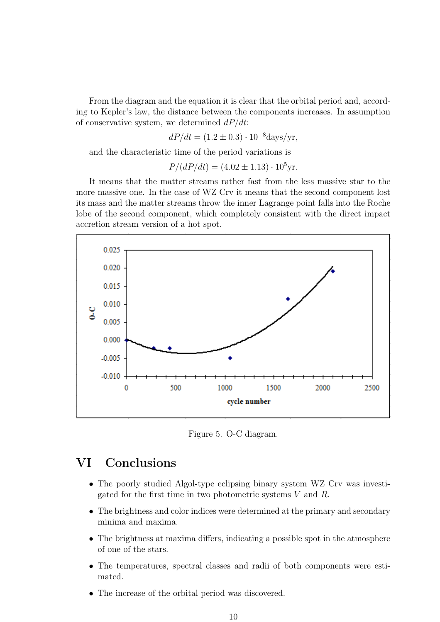From the diagram and the equation it is clear that the orbital period and, according to Kepler's law, the distance between the components increases. In assumption of conservative system, we determined  $dP/dt$ :

$$
dP/dt = (1.2 \pm 0.3) \cdot 10^{-8} \text{days/yr},
$$

and the characteristic time of the period variations is

$$
P/(dP/dt) = (4.02 \pm 1.13) \cdot 10^5 \text{yr}.
$$

It means that the matter streams rather fast from the less massive star to the more massive one. In the case of WZ Crv it means that the second component lost its mass and the matter streams throw the inner Lagrange point falls into the Roche lobe of the second component, which completely consistent with the direct impact accretion stream version of a hot spot.



<span id="page-9-0"></span>Figure 5. O-C diagram.

### VI Conclusions

- The poorly studied Algol-type eclipsing binary system WZ Crv was investigated for the first time in two photometric systems V and R.
- The brightness and color indices were determined at the primary and secondary minima and maxima.
- The brightness at maxima differs, indicating a possible spot in the atmosphere of one of the stars.
- The temperatures, spectral classes and radii of both components were estimated.
- The increase of the orbital period was discovered.